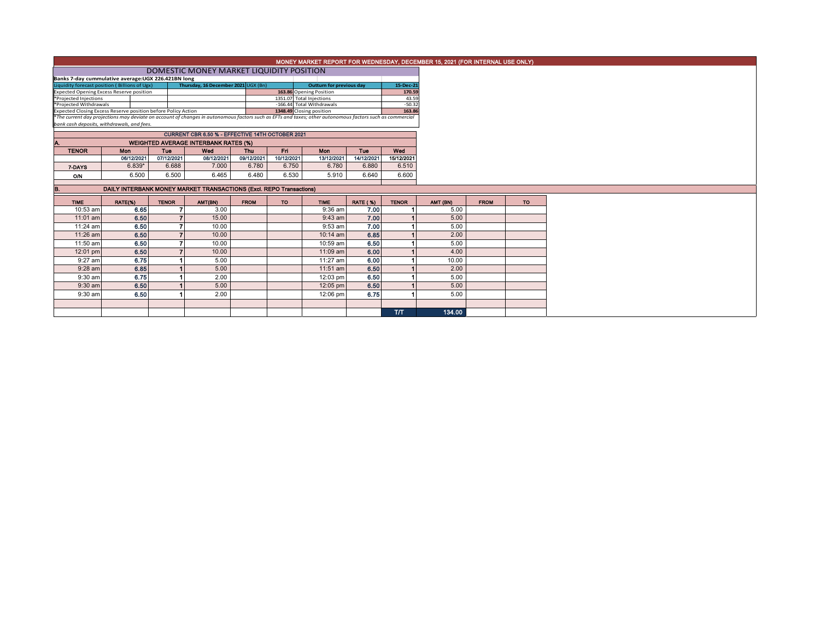## MONEY MARKET REPORT FOR WEDNESDAY, DECEMBER 15, 2021 (FOR INTERNAL USE ONLY)

## DOMESTIC MONEY MARKET LIQUIDITY POSITION

| Banks 7-day cummulative average:UGX 226.421BN long            |                                                                                                                                                          |                                     |  |                           |                                 |          |  |  |  |  |  |  |  |
|---------------------------------------------------------------|----------------------------------------------------------------------------------------------------------------------------------------------------------|-------------------------------------|--|---------------------------|---------------------------------|----------|--|--|--|--|--|--|--|
| Liquidity forecast position (Billions of Ugx)                 |                                                                                                                                                          | Thursday, 16 December 2021 UGX (Bn) |  |                           | <b>Outturn for previous day</b> |          |  |  |  |  |  |  |  |
| Expected Opening Excess Reserve position                      |                                                                                                                                                          |                                     |  | 163.86 Opening Position   |                                 | 170.59   |  |  |  |  |  |  |  |
| *Proiected Iniections                                         |                                                                                                                                                          |                                     |  | 1351.07 Total Injections  |                                 | 43.59    |  |  |  |  |  |  |  |
| *Proiected Withdrawals                                        |                                                                                                                                                          |                                     |  | -166.44 Total Withdrawals |                                 | $-50.32$ |  |  |  |  |  |  |  |
| Expected Closing Excess Reserve position before Policy Action |                                                                                                                                                          |                                     |  | 1348.49 Closing position  |                                 | 163.86   |  |  |  |  |  |  |  |
|                                                               | *The current day projections may deviate on account of changes in autonomous factors such as EFTs and taxes; other autonomous factors such as commercial |                                     |  |                           |                                 |          |  |  |  |  |  |  |  |
|                                                               |                                                                                                                                                          |                                     |  |                           |                                 |          |  |  |  |  |  |  |  |

*bank cash deposits, withdrawals, and fees.*

| CURRENT CBR 6.50 % - EFFECTIVE 14TH OCTOBER 2021  |                                                             |            |            |            |            |            |            |            |  |  |  |  |  |  |
|---------------------------------------------------|-------------------------------------------------------------|------------|------------|------------|------------|------------|------------|------------|--|--|--|--|--|--|
| <b>WEIGHTED AVERAGE INTERBANK RATES (%)</b><br>A. |                                                             |            |            |            |            |            |            |            |  |  |  |  |  |  |
| <b>TENOR</b>                                      | <b>Mon</b><br>Wed<br>Mon<br>Fri<br>Thu<br>Tue<br><b>Tue</b> |            |            |            |            |            |            |            |  |  |  |  |  |  |
|                                                   | 06/12/2021                                                  | 07/12/2021 | 08/12/2021 | 09/12/2021 | 10/12/2021 | 13/12/2021 | 14/12/2021 | 15/12/2021 |  |  |  |  |  |  |
| 7-DAYS                                            | $6.839*$                                                    | 6.688      | 7.000      | 6.780      | 6.750      | 6.780      | 6.880      | 6.510      |  |  |  |  |  |  |
| O/N                                               | 6.500                                                       | 6.500      | 6.465      | 6.480      | 6.530      | 5.910      | 6.640      | 6.600      |  |  |  |  |  |  |
|                                                   |                                                             |            |            |            |            |            |            |            |  |  |  |  |  |  |

## **B.** DAILY INTERBANK MONEY MARKET TRANSACTIONS (Excl. REPO Transactions)

| <b>TIME</b> | RATE(%) | <b>TENOR</b> | AMT(BN) | <b>FROM</b> | <b>TO</b> | <b>TIME</b> | <b>RATE (%)</b> | <b>TENOR</b> | AMT (BN) | <b>FROM</b> | <b>TO</b> |
|-------------|---------|--------------|---------|-------------|-----------|-------------|-----------------|--------------|----------|-------------|-----------|
| 10:53 am    | 6.65    |              | 3.00    |             |           | 9:36 am     | 7.00            |              | 5.00     |             |           |
| 11:01 am    | 6.50    |              | 15.00   |             |           | $9:43$ am   | 7.00            |              | 5.00     |             |           |
| $11:24$ am  | 6.50    |              | 10.00   |             |           | $9:53$ am   | 7.00            |              | 5.00     |             |           |
| $11:26$ am  | 6.50    |              | 10.00   |             |           | $10:14$ am  | 6.85            |              | 2.00     |             |           |
| 11:50 am    | 6.50    |              | 10.00   |             |           | 10:59 am    | 6.50            |              | 5.00     |             |           |
| $12:01$ pm  | 6.50    |              | 10.00   |             |           | 11:09 am    | 6.00            |              | 4.00     |             |           |
| $9:27$ am   | 6.75    |              | 5.00    |             |           | 11:27 am    | 6.00            |              | 10.00    |             |           |
| $9:28$ am   | 6.85    |              | 5.00    |             |           | 11:51 am    | 6.50            |              | 2.00     |             |           |
| $9:30$ am   | 6.75    |              | 2.00    |             |           | 12:03 pm    | 6.50            |              | 5.00     |             |           |
| $9:30$ am   | 6.50    |              | 5.00    |             |           | $12:05$ pm  | 6.50            |              | 5.00     |             |           |
| 9:30 am     | 6.50    |              | 2.00    |             |           | 12:06 pm    | 6.75            |              | 5.00     |             |           |
|             |         |              |         |             |           |             |                 |              |          |             |           |
|             |         |              |         |             |           |             |                 | <b>T/T</b>   | 134.00   |             |           |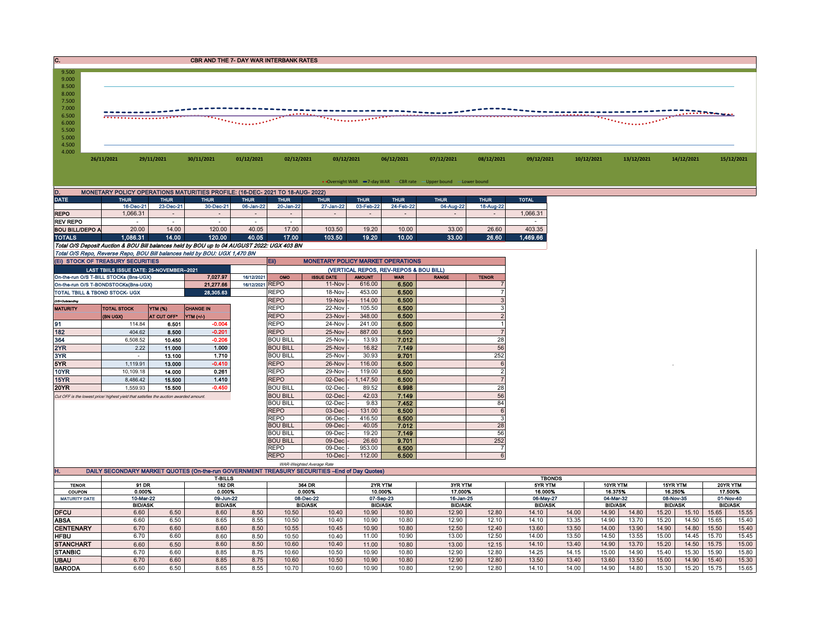| 9.500<br>9.000<br>8.500<br>8.000<br>7.500<br>7.000 |            |            |            |              |            |            |            |            |            |            |                       |            |                             |            |
|----------------------------------------------------|------------|------------|------------|--------------|------------|------------|------------|------------|------------|------------|-----------------------|------------|-----------------------------|------------|
| 6.500<br>6.000<br>5.500<br>5.000<br>4.500<br>4.000 |            |            |            | . <b>.</b> . |            |            |            |            |            |            | <u> ""KEBERER", "</u> |            | <b>All and a Propinsion</b> |            |
|                                                    | 26/11/2021 | 29/11/2021 | 30/11/2021 | 01/12/2021   | 02/12/2021 | 03/12/2021 | 06/12/2021 | 07/12/2021 | 08/12/2021 | 09/12/2021 | 10/12/2021            | 13/12/2021 | 14/12/2021                  | 15/12/2021 |

• Overnight WAR -7-day WAR - CBR rate - Upper bound - Lower bound

| D.                                                                                         | MONETARY POLICY OPERATIONS MATURITIES PROFILE: (16-DEC- 2021 TO 18-AUG- 2022) |                |             |             |                |                                          |             |             |             |             |              |  |  |  |  |
|--------------------------------------------------------------------------------------------|-------------------------------------------------------------------------------|----------------|-------------|-------------|----------------|------------------------------------------|-------------|-------------|-------------|-------------|--------------|--|--|--|--|
| <b>DATE</b>                                                                                | <b>THUR</b>                                                                   | <b>THUR</b>    | <b>THUR</b> | <b>THUR</b> | <b>THUR</b>    | <b>THUR</b>                              | <b>THUR</b> | <b>THUR</b> | <b>THUR</b> | <b>THUR</b> | <b>TOTAL</b> |  |  |  |  |
|                                                                                            | 16-Dec-21                                                                     | 23-Dec-21      | 30-Dec-21   | 06-Jan-22   | 20-Jan-22      | 27-Jan-22                                | 03-Feb-22   | 24-Feb-22   | 04-Aug-22   | 18-Aug-22   |              |  |  |  |  |
| <b>REPO</b>                                                                                | 1.066.31                                                                      | $\blacksquare$ |             |             | $\blacksquare$ |                                          | $\sim$      |             |             |             | 1.066.31     |  |  |  |  |
| REV REPO                                                                                   |                                                                               |                |             |             |                |                                          |             |             |             |             |              |  |  |  |  |
| <b>BOU BILL/DEPO A</b>                                                                     | 20.00                                                                         | 14.00          | 120.00      | 40.05       | 17.00          | 103.50                                   | 19.20       | 10.00       | 33.00       | 26.60       | 403.35       |  |  |  |  |
| <b>TOTALS</b>                                                                              | 1.086.31                                                                      | 14.00          | 120.00      | 40.05       | 17.00          | 103.50                                   | 19.20       | 10.00       | 33.00       | 26.60       | 1,469.66     |  |  |  |  |
| Total O/S Deposit Auction & BOU Bill balances held by BOU up to 04 AUGUST 2022: UGX 403 BN |                                                                               |                |             |             |                |                                          |             |             |             |             |              |  |  |  |  |
| Total O/S Repo, Reverse Repo, BOU Bill balances held by BOU: UGX 1,470 BN                  |                                                                               |                |             |             |                |                                          |             |             |             |             |              |  |  |  |  |
| (EI) STOCK OF TREASURY SECURITIES                                                          |                                                                               |                |             |             | <b>Ein</b>     | <b>MONETARY POLICY MARKET OPERATIONS</b> |             |             |             |             |              |  |  |  |  |

|                 | (EI) STOCK OF TREASURY SECURITIES                                                     |                 |                  |            | Eii)            | <b>MONETARY POLICY MARKET OPERATIONS</b> |               |            |              |                          |  |  |
|-----------------|---------------------------------------------------------------------------------------|-----------------|------------------|------------|-----------------|------------------------------------------|---------------|------------|--------------|--------------------------|--|--|
|                 | LAST TBIILS ISSUE DATE: 25-NOVEMBER--2021                                             |                 |                  |            |                 | (VERTICAL REPOS, REV-REPOS & BOU BILL)   |               |            |              |                          |  |  |
|                 | On-the-run O/S T-BILL STOCKs (Bns-UGX)                                                |                 | 7.027.97         | 16/12/2021 | OMO             | <b>ISSUE DATE</b>                        | <b>AMOUNT</b> | <b>WAR</b> | <b>RANGE</b> | <b>TENOR</b>             |  |  |
|                 | On-the-run O/S T-BONDSTOCKs(Bns-UGX)                                                  | 16/12/2021 REPO |                  | 11-Nov     | 616.00          | 6.500                                    |               |            |              |                          |  |  |
|                 | TOTAL TBILL & TBOND STOCK- UGX                                                        |                 | <b>REPO</b>      | 18-Nov     | 453.00          | 6.500                                    |               |            |              |                          |  |  |
| O/S=Outstanding |                                                                                       |                 |                  |            | <b>REPO</b>     | 19-Nov                                   | 114.00        | 6.500      |              |                          |  |  |
| <b>MATURITY</b> | <b>TOTAL STOCK</b>                                                                    | <b>YTM (%)</b>  | <b>CHANGE IN</b> |            | <b>REPO</b>     | 22-Nov                                   | 105.50        | 6.500      |              |                          |  |  |
|                 | (BN UGX)                                                                              | AT CUT OFF*     | YTM (+/-)        |            | <b>REPO</b>     | 23-Nov                                   | 348.00        | 6.500      |              |                          |  |  |
| 91              | 114.84                                                                                | 6.501           | $-0.004$         |            | <b>REPO</b>     | 24-Nov                                   | 241.00        | 6.500      |              |                          |  |  |
| 182             | 404.62                                                                                | 8.500           | $-0.201$         |            | <b>REPO</b>     | 25-Nov                                   | 887.00        | 6.500      |              |                          |  |  |
| 364             | 6.508.52                                                                              | 10.450          | $-0.206$         |            | <b>BOU BILL</b> | 25-Nov                                   | 13.93         | 7.012      |              | 28                       |  |  |
| 2YR             | 2.22                                                                                  | 11.000          | 1.000            |            | <b>BOU BILL</b> | 25-Nov                                   | 16.82         | 7.149      |              | 56                       |  |  |
| 3YR             |                                                                                       | 13.100          | 1.710            |            | <b>BOU BILL</b> | 25-Nov -                                 | 30.93         | 9.701      |              | 252                      |  |  |
| 5YR             | 1.119.91                                                                              | 13.000          | $-0.410$         |            | <b>REPO</b>     | 26-Nov                                   | 116.00        | 6.500      |              | 6                        |  |  |
| 10YR            | 10.109.18                                                                             | 14.000          | 0.261            |            | <b>REPO</b>     | 29-Nov                                   | 119.00        | 6.500      |              | $\overline{\phantom{a}}$ |  |  |
| 15YR            | 8.486.42                                                                              | 15.500          | 1.410            |            | <b>REPO</b>     | 02-Dec                                   | ,147.50       | 6.500      |              |                          |  |  |
| <b>20YR</b>     | 1.559.93                                                                              | 15.500          | $-0.450$         |            | <b>BOU BILL</b> | 02-Dec                                   | 89.52         | 6.998      |              | 28                       |  |  |
|                 | Cut OFF is the lowest price/ highest vield that satisfies the auction awarded amount. |                 |                  |            | <b>BOU BILL</b> | $02$ -Dec                                | 42.03         | 7.149      |              | 56                       |  |  |
|                 |                                                                                       |                 |                  |            | <b>BOU BILL</b> | $02$ -Dec $\cdot$                        | 9.83          | 7.452      |              | 84                       |  |  |
|                 |                                                                                       |                 |                  |            | <b>REPO</b>     | 03-Dec                                   | 131.00        | 6.500      |              | 6                        |  |  |
|                 |                                                                                       |                 |                  |            | <b>REPO</b>     | 06-Dec                                   | 416.50        | 6.500      |              | 3                        |  |  |
|                 |                                                                                       |                 |                  |            | <b>BOU BILL</b> | $09$ -Dec                                | 40.05         | 7.012      |              | 28                       |  |  |
|                 |                                                                                       |                 |                  |            | <b>BOU BILL</b> | 09-Dec                                   | 19.20         | 7.149      |              | 56                       |  |  |
|                 |                                                                                       |                 |                  |            | <b>BOU BILL</b> | $09$ -Dec $\cdot$                        | 26.60         | 9.701      |              | 252                      |  |  |
|                 |                                                                                       |                 |                  |            | <b>REPO</b>     | 09-Dec                                   | 953.00        | 6.500      |              |                          |  |  |
|                 |                                                                                       |                 |                  |            | <b>REPO</b>     | $10$ -Dec $\vert$ -                      | 112.00        | 6.500      |              | 6                        |  |  |

|                      |                                                                                                |      |                   |      |        | WAR-Weighted Average Rate |               |                |                |         |                |         |                |       |                 |       |           |       |                |
|----------------------|------------------------------------------------------------------------------------------------|------|-------------------|------|--------|---------------------------|---------------|----------------|----------------|---------|----------------|---------|----------------|-------|-----------------|-------|-----------|-------|----------------|
| п.                   | DAILY SECONDARY MARKET QUOTES (On-the-run GOVERNMENT TREASURY SECURITIES -- End of Day Quotes) |      |                   |      |        |                           |               |                |                |         |                |         |                |       |                 |       |           |       |                |
|                      |                                                                                                |      | <b>T-BILLS</b>    |      |        |                           | <b>TBONDS</b> |                |                |         |                |         |                |       |                 |       |           |       |                |
| <b>TENOR</b>         | 91 DR                                                                                          |      | <b>182 DR</b>     |      | 364 DR |                           |               | 2YR YTM        | 3YR YTM        |         | 5YR YTM        |         | 10YR YTM       |       | <b>15YR YTM</b> |       | 20YR YTM  |       |                |
| <b>COUPON</b>        | 0.000%<br>0.000%                                                                               |      | 0.000%<br>10.000% |      |        | 17.000%                   |               | 16.000%        |                | 16.375% |                | 16.250% |                |       | 17.500%         |       |           |       |                |
| <b>MATURITY DATE</b> | 10-Mar-22<br>09-Jun-22                                                                         |      |                   |      |        | 08-Dec-22                 | 07-Sep-23     |                | 16-Jan-25      |         | 06-May-27      |         | 04-Mar-32      |       | 08-Nov-35       |       | 01-Nov-40 |       |                |
|                      | <b>BID/ASK</b>                                                                                 |      | <b>BID/ASK</b>    |      |        | <b>BID/ASK</b>            |               | <b>BID/ASK</b> | <b>BID/ASK</b> |         | <b>BID/ASK</b> |         | <b>BID/ASK</b> |       | <b>BID/ASK</b>  |       |           |       | <b>BID/ASK</b> |
| <b>DFCU</b>          | 6.60                                                                                           | 6.50 | 8.60              | 8.50 | 10.50  | 10.40                     | 10.90         | 10.80          | 12.90          | 12.80   | 14.10          | 14.00   | 14.90          | 14.80 | 15.20           | 15.10 | 15.65     | 15.55 |                |
| ABSA                 | 6.60                                                                                           | 6.50 | 8.65              | 8.55 | 10.50  | 10.40                     | 10.90         | 10.80          | 12.90          | 12.10   | 14.10          | 13.35   | 14.90          | 13.70 | 15.20           | 14.50 | 15.65     | 15.40 |                |
| <b>CENTENARY</b>     | 6.70                                                                                           | 6.60 | 8.60              | 8.50 | 10.55  | 10.45                     | 10.90         | 10.80          | 12.50          | 12.40   | 13.60          | 13.50   | 14.00          | 13.90 | 14.90           | 14.80 | 15.50     | 15.40 |                |
| <b>HFBU</b>          | 6.70                                                                                           | 6.60 | 8.60              | 8.50 | 10.50  | 10.40                     | 11.00         | 10.90          | 13.00          | 12.50   | 14.00          | 13.50   | 14.50          | 13.55 | 15.00           | 14.45 | 15.70     | 15.45 |                |
| <b>STANCHART</b>     | 6.60                                                                                           | 6.50 | 8.60              | 8.50 | 10.60  | 10.40                     | 11.00         | 10.80          | 13.00          | 12.15   | 14.10          | 13.40   | 14.90          | 13.70 | 15.20           | 14.50 | 15.75     | 15.00 |                |
| <b>STANBIC</b>       | 6.70                                                                                           | 6.60 | 8.85              | 8.75 | 10.60  | 10.50                     | 10.90         | 10.80          | 12.90          | 12.80   | 14.25          | 14.15   | 15.00          | 14.90 | 15.40           | 5.30  | 15.90     | 15.80 |                |
| <b>UBAU</b>          | 6.70                                                                                           | 6.60 | 8.85              | 8.75 | 10.60  | 10.50                     | 10.90         | 10.80          | 12.90          | 12.80   | 13.50          | 13.40   | 13.60          | 13.50 | 15.00           | 14.90 | 15.40     | 15.30 |                |
| <b>BARODA</b>        | 6.60                                                                                           | 6.50 | 8.65              | 8.55 | 10.70  | 10.60                     | 10.90         | 10.80          | 12.90          | 12.80   | 14.10          | 14.00   | 14.90          | 14.80 | 5.30            | 5.20  | 15.75     | 15.65 |                |